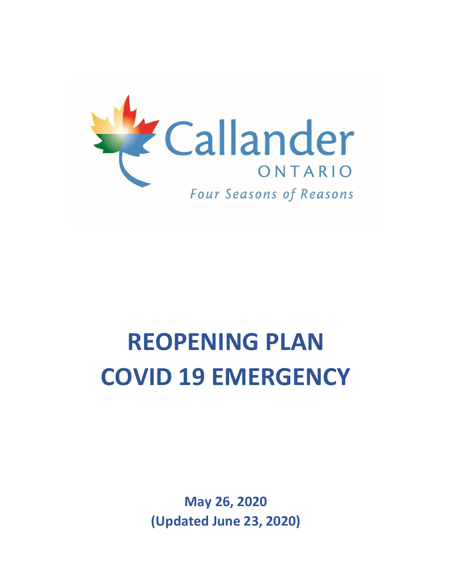

# **REOPENING PLAN COVID 19 EMERGENCY**

**May 26, 2020 (Updated June 23, 2020)**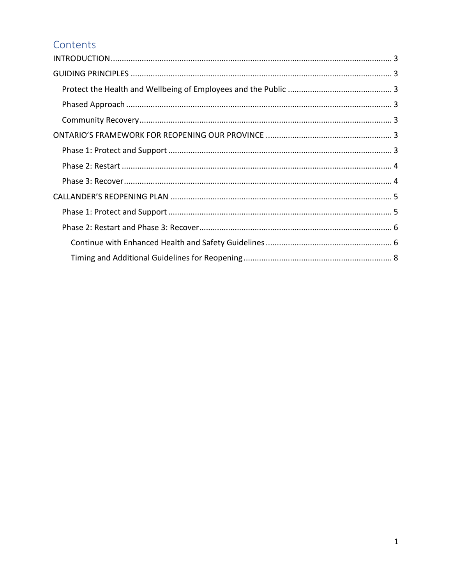## Contents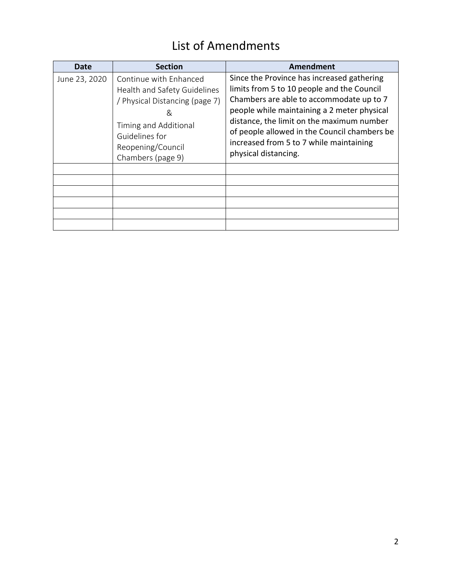## List of Amendments

| Date          | <b>Section</b>                                                                                                                                                                     | Amendment                                                                                                                                                                                                                                                                                                                                           |
|---------------|------------------------------------------------------------------------------------------------------------------------------------------------------------------------------------|-----------------------------------------------------------------------------------------------------------------------------------------------------------------------------------------------------------------------------------------------------------------------------------------------------------------------------------------------------|
| June 23, 2020 | Continue with Enhanced<br>Health and Safety Guidelines<br>/ Physical Distancing (page 7)<br>&<br>Timing and Additional<br>Guidelines for<br>Reopening/Council<br>Chambers (page 9) | Since the Province has increased gathering<br>limits from 5 to 10 people and the Council<br>Chambers are able to accommodate up to 7<br>people while maintaining a 2 meter physical<br>distance, the limit on the maximum number<br>of people allowed in the Council chambers be<br>increased from 5 to 7 while maintaining<br>physical distancing. |
|               |                                                                                                                                                                                    |                                                                                                                                                                                                                                                                                                                                                     |
|               |                                                                                                                                                                                    |                                                                                                                                                                                                                                                                                                                                                     |
|               |                                                                                                                                                                                    |                                                                                                                                                                                                                                                                                                                                                     |
|               |                                                                                                                                                                                    |                                                                                                                                                                                                                                                                                                                                                     |
|               |                                                                                                                                                                                    |                                                                                                                                                                                                                                                                                                                                                     |
|               |                                                                                                                                                                                    |                                                                                                                                                                                                                                                                                                                                                     |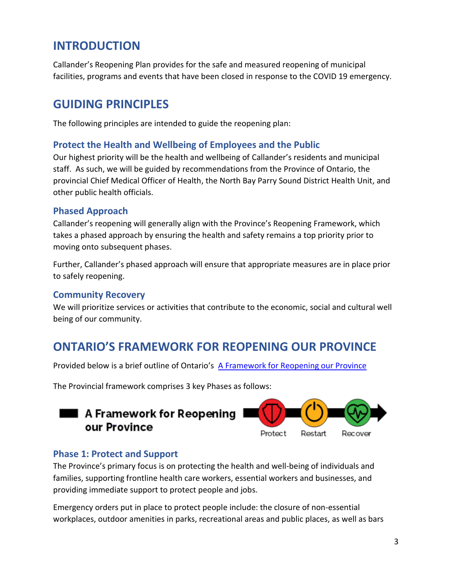## <span id="page-3-0"></span>**INTRODUCTION**

Callander's Reopening Plan provides for the safe and measured reopening of municipal facilities, programs and events that have been closed in response to the COVID 19 emergency.

## <span id="page-3-1"></span>**GUIDING PRINCIPLES**

The following principles are intended to guide the reopening plan:

#### <span id="page-3-2"></span>**Protect the Health and Wellbeing of Employees and the Public**

Our highest priority will be the health and wellbeing of Callander's residents and municipal staff. As such, we will be guided by recommendations from the Province of Ontario, the provincial Chief Medical Officer of Health, the North Bay Parry Sound District Health Unit, and other public health officials.

#### <span id="page-3-3"></span>**Phased Approach**

Callander's reopening will generally align with the Province's Reopening Framework, which takes a phased approach by ensuring the health and safety remains a top priority prior to moving onto subsequent phases.

Further, Callander's phased approach will ensure that appropriate measures are in place prior to safely reopening.

### <span id="page-3-4"></span>**Community Recovery**

We will prioritize services or activities that contribute to the economic, social and cultural well being of our community.

## <span id="page-3-5"></span>**ONTARIO'S FRAMEWORK FOR REOPENING OUR PROVINCE**

Provided below is a brief outline of Ontario's [A Framework for Reopening our Province](https://www.ontario.ca/page/framework-reopening-our-province)

The Provincial framework comprises 3 key Phases as follows:

#### $\blacksquare$  A Framework for Reopening our Province Protect Restart Recover

#### <span id="page-3-6"></span>**Phase 1: Protect and Support**

The Province's primary focus is on protecting the health and well-being of individuals and families, supporting frontline health care workers, essential workers and businesses, and providing immediate support to protect people and jobs.

Emergency orders put in place to protect people include: the closure of non-essential workplaces, outdoor amenities in parks, recreational areas and public places, as well as bars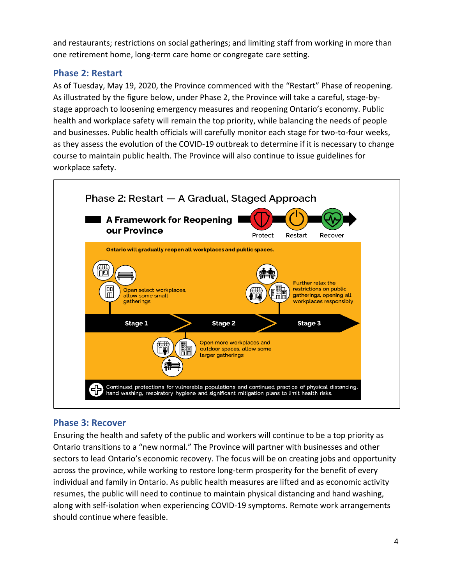and restaurants; restrictions on social gatherings; and limiting staff from working in more than one retirement home, long-term care home or congregate care setting.

### <span id="page-4-0"></span>**Phase 2: Restart**

As of Tuesday, May 19, 2020, the Province commenced with the "Restart" Phase of reopening. As illustrated by the figure below, under Phase 2, the Province will take a careful, stage-bystage approach to loosening emergency measures and reopening Ontario's economy. Public health and workplace safety will remain the top priority, while balancing the needs of people and businesses. Public health officials will carefully monitor each stage for two-to-four weeks, as they assess the evolution of the COVID-19 outbreak to determine if it is necessary to change course to maintain public health. The Province will also continue to issue guidelines for workplace safety.



### <span id="page-4-1"></span>**Phase 3: Recover**

Ensuring the health and safety of the public and workers will continue to be a top priority as Ontario transitions to a "new normal." The Province will partner with businesses and other sectors to lead Ontario's economic recovery. The focus will be on creating jobs and opportunity across the province, while working to restore long-term prosperity for the benefit of every individual and family in Ontario. As public health measures are lifted and as economic activity resumes, the public will need to continue to maintain physical distancing and hand washing, along with self-isolation when experiencing COVID-19 symptoms. Remote work arrangements should continue where feasible.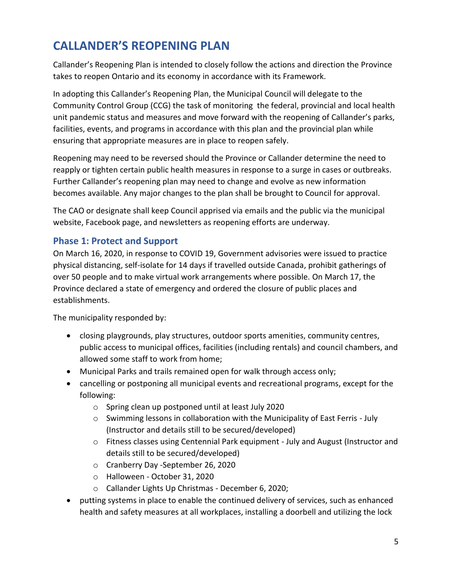## <span id="page-5-0"></span>**CALLANDER'S REOPENING PLAN**

Callander's Reopening Plan is intended to closely follow the actions and direction the Province takes to reopen Ontario and its economy in accordance with its Framework.

In adopting this Callander's Reopening Plan, the Municipal Council will delegate to the Community Control Group (CCG) the task of monitoring the federal, provincial and local health unit pandemic status and measures and move forward with the reopening of Callander's parks, facilities, events, and programs in accordance with this plan and the provincial plan while ensuring that appropriate measures are in place to reopen safely.

Reopening may need to be reversed should the Province or Callander determine the need to reapply or tighten certain public health measures in response to a surge in cases or outbreaks. Further Callander's reopening plan may need to change and evolve as new information becomes available. Any major changes to the plan shall be brought to Council for approval.

The CAO or designate shall keep Council apprised via emails and the public via the municipal website, Facebook page, and newsletters as reopening efforts are underway.

#### <span id="page-5-1"></span>**Phase 1: Protect and Support**

On March 16, 2020, in response to COVID 19, Government advisories were issued to practice physical distancing, self-isolate for 14 days if travelled outside Canada, prohibit gatherings of over 50 people and to make virtual work arrangements where possible. On March 17, the Province declared a state of emergency and ordered the closure of public places and establishments.

The municipality responded by:

- closing playgrounds, play structures, outdoor sports amenities, community centres, public access to municipal offices, facilities (including rentals) and council chambers, and allowed some staff to work from home;
- Municipal Parks and trails remained open for walk through access only;
- cancelling or postponing all municipal events and recreational programs, except for the following:
	- o Spring clean up postponed until at least July 2020
	- $\circ$  Swimming lessons in collaboration with the Municipality of East Ferris July (Instructor and details still to be secured/developed)
	- o Fitness classes using Centennial Park equipment July and August (Instructor and details still to be secured/developed)
	- o Cranberry Day -September 26, 2020
	- o Halloween October 31, 2020
	- o Callander Lights Up Christmas December 6, 2020;
- putting systems in place to enable the continued delivery of services, such as enhanced health and safety measures at all workplaces, installing a doorbell and utilizing the lock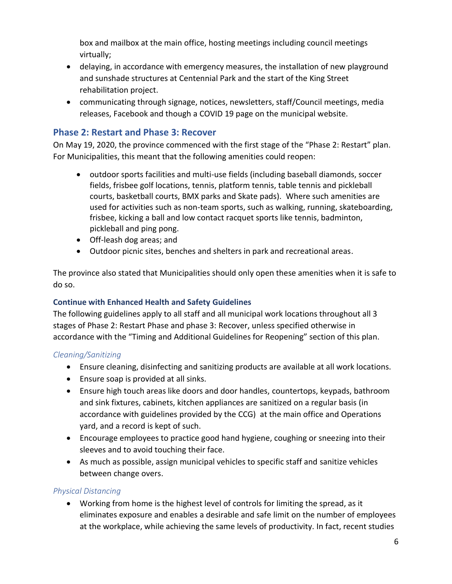box and mailbox at the main office, hosting meetings including council meetings virtually;

- delaying, in accordance with emergency measures, the installation of new playground and sunshade structures at Centennial Park and the start of the King Street rehabilitation project.
- communicating through signage, notices, newsletters, staff/Council meetings, media releases, Facebook and though a COVID 19 page on the municipal website.

#### <span id="page-6-0"></span>**Phase 2: Restart and Phase 3: Recover**

On May 19, 2020, the province commenced with the first stage of the "Phase 2: Restart" plan. For Municipalities, this meant that the following amenities could reopen:

- outdoor sports facilities and multi-use fields (including baseball diamonds, soccer fields, frisbee golf locations, tennis, platform tennis, table tennis and pickleball courts, basketball courts, BMX parks and Skate pads). Where such amenities are used for activities such as non-team sports, such as walking, running, skateboarding, frisbee, kicking a ball and low contact racquet sports like tennis, badminton, pickleball and ping pong.
- Off-leash dog areas; and
- Outdoor picnic sites, benches and shelters in park and recreational areas.

The province also stated that Municipalities should only open these amenities when it is safe to do so.

#### <span id="page-6-1"></span>**Continue with Enhanced Health and Safety Guidelines**

The following guidelines apply to all staff and all municipal work locations throughout all 3 stages of Phase 2: Restart Phase and phase 3: Recover, unless specified otherwise in accordance with the "Timing and Additional Guidelines for Reopening" section of this plan.

#### *Cleaning/Sanitizing*

- Ensure cleaning, disinfecting and sanitizing products are available at all work locations.
- Ensure soap is provided at all sinks.
- Ensure high touch areas like doors and door handles, countertops, keypads, bathroom and sink fixtures, cabinets, kitchen appliances are sanitized on a regular basis (in accordance with guidelines provided by the CCG) at the main office and Operations yard, and a record is kept of such.
- Encourage employees to practice good hand hygiene, coughing or sneezing into their sleeves and to avoid touching their face.
- As much as possible, assign municipal vehicles to specific staff and sanitize vehicles between change overs.

#### *Physical Distancing*

• Working from home is the highest level of controls for limiting the spread, as it eliminates exposure and enables a desirable and safe limit on the number of employees at the workplace, while achieving the same levels of productivity. In fact, recent studies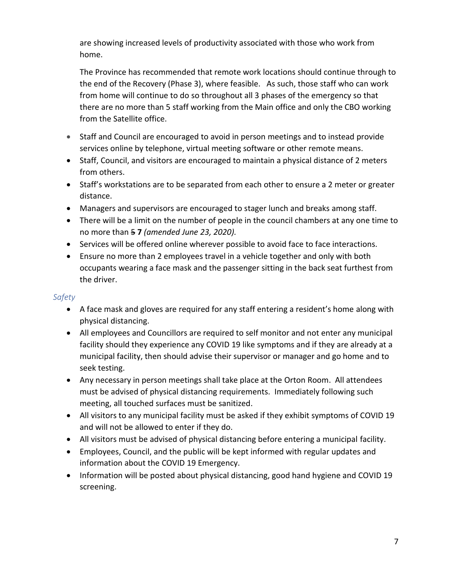are showing increased levels of productivity associated with those who work from home.

The Province has recommended that remote work locations should continue through to the end of the Recovery (Phase 3), where feasible. As such, those staff who can work from home will continue to do so throughout all 3 phases of the emergency so that there are no more than 5 staff working from the Main office and only the CBO working from the Satellite office.

- Staff and Council are encouraged to avoid in person meetings and to instead provide services online by telephone, virtual meeting software or other remote means.
- Staff, Council, and visitors are encouraged to maintain a physical distance of 2 meters from others.
- Staff's workstations are to be separated from each other to ensure a 2 meter or greater distance.
- Managers and supervisors are encouraged to stager lunch and breaks among staff.
- There will be a limit on the number of people in the council chambers at any one time to no more than 5 **7** *(amended June 23, 2020).*
- Services will be offered online wherever possible to avoid face to face interactions.
- Ensure no more than 2 employees travel in a vehicle together and only with both occupants wearing a face mask and the passenger sitting in the back seat furthest from the driver.

#### *Safety*

- A face mask and gloves are required for any staff entering a resident's home along with physical distancing.
- All employees and Councillors are required to self monitor and not enter any municipal facility should they experience any COVID 19 like symptoms and if they are already at a municipal facility, then should advise their supervisor or manager and go home and to seek testing.
- Any necessary in person meetings shall take place at the Orton Room. All attendees must be advised of physical distancing requirements. Immediately following such meeting, all touched surfaces must be sanitized.
- All visitors to any municipal facility must be asked if they exhibit symptoms of COVID 19 and will not be allowed to enter if they do.
- All visitors must be advised of physical distancing before entering a municipal facility.
- Employees, Council, and the public will be kept informed with regular updates and information about the COVID 19 Emergency.
- Information will be posted about physical distancing, good hand hygiene and COVID 19 screening.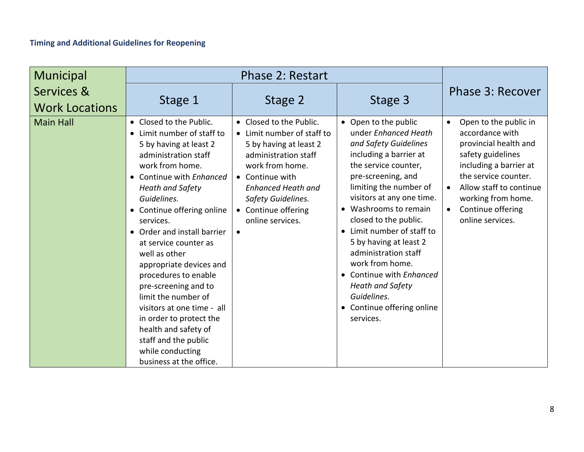<span id="page-8-0"></span>

| <b>Municipal</b>                    |                                                                                                                                                                                                                                                                                                                                                                                                                                                                                                                                                                              |                                                                                                                                                                                                                                             |                                                                                                                                                                                                                                                                                                                                                                                                                                                                   |                                                                                                                                                                                                                                                                           |
|-------------------------------------|------------------------------------------------------------------------------------------------------------------------------------------------------------------------------------------------------------------------------------------------------------------------------------------------------------------------------------------------------------------------------------------------------------------------------------------------------------------------------------------------------------------------------------------------------------------------------|---------------------------------------------------------------------------------------------------------------------------------------------------------------------------------------------------------------------------------------------|-------------------------------------------------------------------------------------------------------------------------------------------------------------------------------------------------------------------------------------------------------------------------------------------------------------------------------------------------------------------------------------------------------------------------------------------------------------------|---------------------------------------------------------------------------------------------------------------------------------------------------------------------------------------------------------------------------------------------------------------------------|
| Services &<br><b>Work Locations</b> | Stage 1                                                                                                                                                                                                                                                                                                                                                                                                                                                                                                                                                                      | Stage 2                                                                                                                                                                                                                                     | Stage 3                                                                                                                                                                                                                                                                                                                                                                                                                                                           | Phase 3: Recover                                                                                                                                                                                                                                                          |
| <b>Main Hall</b>                    | • Closed to the Public.<br>• Limit number of staff to<br>5 by having at least 2<br>administration staff<br>work from home.<br>Continue with Enhanced<br><b>Heath and Safety</b><br>Guidelines.<br>• Continue offering online<br>services.<br>• Order and install barrier<br>at service counter as<br>well as other<br>appropriate devices and<br>procedures to enable<br>pre-screening and to<br>limit the number of<br>visitors at one time - all<br>in order to protect the<br>health and safety of<br>staff and the public<br>while conducting<br>business at the office. | • Closed to the Public.<br>• Limit number of staff to<br>5 by having at least 2<br>administration staff<br>work from home.<br>• Continue with<br><b>Enhanced Heath and</b><br>Safety Guidelines.<br>• Continue offering<br>online services. | • Open to the public<br>under Enhanced Heath<br>and Safety Guidelines<br>including a barrier at<br>the service counter,<br>pre-screening, and<br>limiting the number of<br>visitors at any one time.<br>Washrooms to remain<br>closed to the public.<br>• Limit number of staff to<br>5 by having at least 2<br>administration staff<br>work from home.<br>• Continue with Enhanced<br>Heath and Safety<br>Guidelines.<br>• Continue offering online<br>services. | Open to the public in<br>$\bullet$<br>accordance with<br>provincial health and<br>safety guidelines<br>including a barrier at<br>the service counter.<br>Allow staff to continue<br>$\bullet$<br>working from home.<br>Continue offering<br>$\bullet$<br>online services. |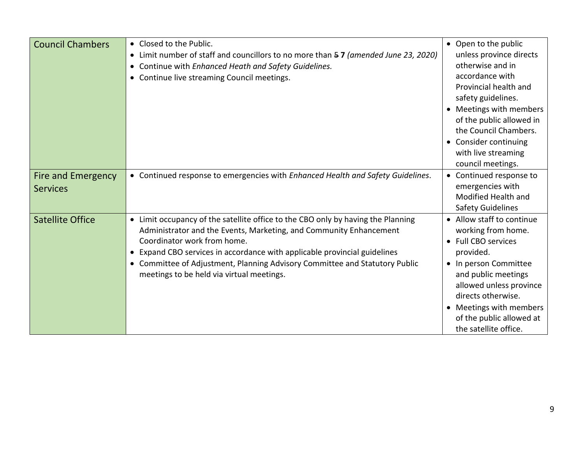| <b>Council Chambers</b>               | • Closed to the Public.<br>• Limit number of staff and councillors to no more than 57 (amended June 23, 2020)<br>• Continue with Enhanced Heath and Safety Guidelines.<br>• Continue live streaming Council meetings.                                                                                                                                                                        | • Open to the public<br>unless province directs<br>otherwise and in<br>accordance with<br>Provincial health and<br>safety guidelines.                                                                                                                                   |
|---------------------------------------|----------------------------------------------------------------------------------------------------------------------------------------------------------------------------------------------------------------------------------------------------------------------------------------------------------------------------------------------------------------------------------------------|-------------------------------------------------------------------------------------------------------------------------------------------------------------------------------------------------------------------------------------------------------------------------|
|                                       |                                                                                                                                                                                                                                                                                                                                                                                              | Meetings with members<br>of the public allowed in<br>the Council Chambers.<br>• Consider continuing<br>with live streaming<br>council meetings.                                                                                                                         |
| Fire and Emergency<br><b>Services</b> | • Continued response to emergencies with Enhanced Health and Safety Guidelines.                                                                                                                                                                                                                                                                                                              | • Continued response to<br>emergencies with<br>Modified Health and<br><b>Safety Guidelines</b>                                                                                                                                                                          |
| <b>Satellite Office</b>               | • Limit occupancy of the satellite office to the CBO only by having the Planning<br>Administrator and the Events, Marketing, and Community Enhancement<br>Coordinator work from home.<br>Expand CBO services in accordance with applicable provincial guidelines<br>• Committee of Adjustment, Planning Advisory Committee and Statutory Public<br>meetings to be held via virtual meetings. | • Allow staff to continue<br>working from home.<br><b>Full CBO services</b><br>provided.<br>• In person Committee<br>and public meetings<br>allowed unless province<br>directs otherwise.<br>Meetings with members<br>of the public allowed at<br>the satellite office. |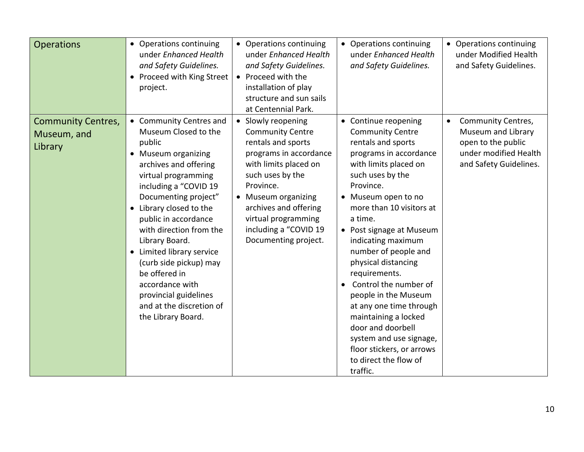| <b>Operations</b>                                   | • Operations continuing<br>under Enhanced Health<br>and Safety Guidelines.<br>• Proceed with King Street<br>project.                                                                                                                                                                                                                                                                                                                                                          | • Operations continuing<br>under Enhanced Health<br>and Safety Guidelines.<br>• Proceed with the<br>installation of play<br>structure and sun sails<br>at Centennial Park.                                                                                                      | • Operations continuing<br>under Enhanced Health<br>and Safety Guidelines.                                                                                                                                                                                                                                                                                                                                                                                                                                                                                      | • Operations continuing<br>under Modified Health<br>and Safety Guidelines.                                                     |
|-----------------------------------------------------|-------------------------------------------------------------------------------------------------------------------------------------------------------------------------------------------------------------------------------------------------------------------------------------------------------------------------------------------------------------------------------------------------------------------------------------------------------------------------------|---------------------------------------------------------------------------------------------------------------------------------------------------------------------------------------------------------------------------------------------------------------------------------|-----------------------------------------------------------------------------------------------------------------------------------------------------------------------------------------------------------------------------------------------------------------------------------------------------------------------------------------------------------------------------------------------------------------------------------------------------------------------------------------------------------------------------------------------------------------|--------------------------------------------------------------------------------------------------------------------------------|
| <b>Community Centres,</b><br>Museum, and<br>Library | • Community Centres and<br>Museum Closed to the<br>public<br>• Museum organizing<br>archives and offering<br>virtual programming<br>including a "COVID 19<br>Documenting project"<br>Library closed to the<br>$\bullet$<br>public in accordance<br>with direction from the<br>Library Board.<br>Limited library service<br>$\bullet$<br>(curb side pickup) may<br>be offered in<br>accordance with<br>provincial guidelines<br>and at the discretion of<br>the Library Board. | • Slowly reopening<br><b>Community Centre</b><br>rentals and sports<br>programs in accordance<br>with limits placed on<br>such uses by the<br>Province.<br>• Museum organizing<br>archives and offering<br>virtual programming<br>including a "COVID 19<br>Documenting project. | • Continue reopening<br><b>Community Centre</b><br>rentals and sports<br>programs in accordance<br>with limits placed on<br>such uses by the<br>Province.<br>• Museum open to no<br>more than 10 visitors at<br>a time.<br>• Post signage at Museum<br>indicating maximum<br>number of people and<br>physical distancing<br>requirements.<br>Control the number of<br>people in the Museum<br>at any one time through<br>maintaining a locked<br>door and doorbell<br>system and use signage,<br>floor stickers, or arrows<br>to direct the flow of<br>traffic. | Community Centres,<br>$\bullet$<br>Museum and Library<br>open to the public<br>under modified Health<br>and Safety Guidelines. |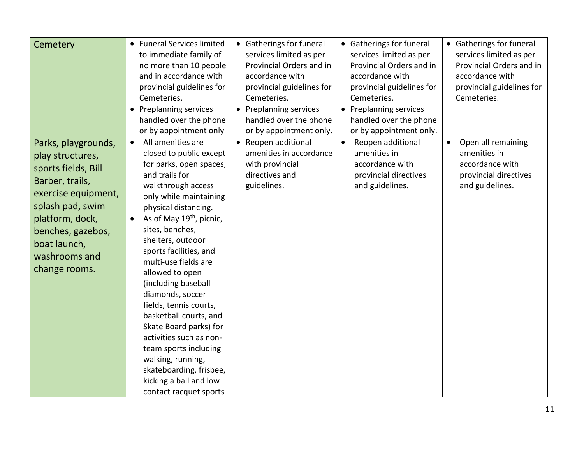| Cemetery                                                                                                                                                                                                               | • Funeral Services limited<br>to immediate family of<br>no more than 10 people<br>and in accordance with<br>provincial guidelines for<br>Cemeteries.<br><b>Preplanning services</b><br>handled over the phone<br>or by appointment only                                                                                                                                                                                                                                                                                                                                                                                           | • Gatherings for funeral<br>services limited as per<br>Provincial Orders and in<br>accordance with<br>provincial guidelines for<br>Cemeteries.<br>• Preplanning services<br>handled over the phone<br>or by appointment only. | • Gatherings for funeral<br>services limited as per<br>Provincial Orders and in<br>accordance with<br>provincial guidelines for<br>Cemeteries.<br>• Preplanning services<br>handled over the phone<br>or by appointment only. | • Gatherings for funeral<br>services limited as per<br>Provincial Orders and in<br>accordance with<br>provincial guidelines for<br>Cemeteries. |
|------------------------------------------------------------------------------------------------------------------------------------------------------------------------------------------------------------------------|-----------------------------------------------------------------------------------------------------------------------------------------------------------------------------------------------------------------------------------------------------------------------------------------------------------------------------------------------------------------------------------------------------------------------------------------------------------------------------------------------------------------------------------------------------------------------------------------------------------------------------------|-------------------------------------------------------------------------------------------------------------------------------------------------------------------------------------------------------------------------------|-------------------------------------------------------------------------------------------------------------------------------------------------------------------------------------------------------------------------------|------------------------------------------------------------------------------------------------------------------------------------------------|
| Parks, playgrounds,<br>play structures,<br>sports fields, Bill<br>Barber, trails,<br>exercise equipment,<br>splash pad, swim<br>platform, dock,<br>benches, gazebos,<br>boat launch,<br>washrooms and<br>change rooms. | All amenities are<br>$\bullet$<br>closed to public except<br>for parks, open spaces,<br>and trails for<br>walkthrough access<br>only while maintaining<br>physical distancing.<br>As of May 19 <sup>th</sup> , picnic,<br>$\bullet$<br>sites, benches,<br>shelters, outdoor<br>sports facilities, and<br>multi-use fields are<br>allowed to open<br>(including baseball<br>diamonds, soccer<br>fields, tennis courts,<br>basketball courts, and<br>Skate Board parks) for<br>activities such as non-<br>team sports including<br>walking, running,<br>skateboarding, frisbee,<br>kicking a ball and low<br>contact racquet sports | • Reopen additional<br>amenities in accordance<br>with provincial<br>directives and<br>guidelines.                                                                                                                            | Reopen additional<br>$\bullet$<br>amenities in<br>accordance with<br>provincial directives<br>and guidelines.                                                                                                                 | Open all remaining<br>$\bullet$<br>amenities in<br>accordance with<br>provincial directives<br>and guidelines.                                 |